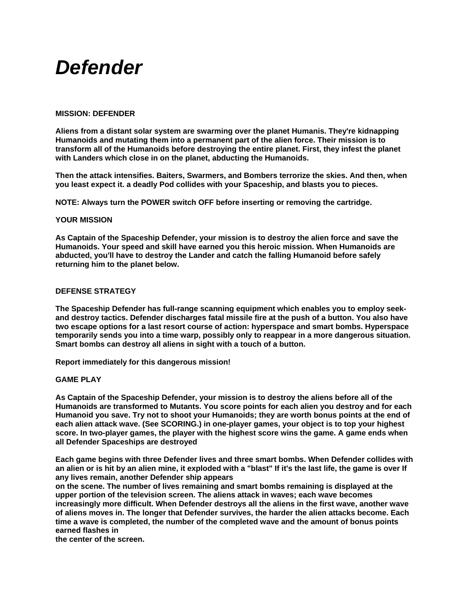# *Defender*

# **MISSION: DEFENDER**

**Aliens from a distant solar system are swarming over the planet Humanis. They're kidnapping Humanoids and mutating them into a permanent part of the alien force. Their mission is to transform all of the Humanoids before destroying the entire planet. First, they infest the planet with Landers which close in on the planet, abducting the Humanoids.** 

**Then the attack intensifies. Baiters, Swarmers, and Bombers terrorize the skies. And then, when you least expect it. a deadly Pod collides with your Spaceship, and blasts you to pieces.** 

**NOTE: Always turn the POWER switch OFF before inserting or removing the cartridge.** 

#### **YOUR MISSION**

**As Captain of the Spaceship Defender, your mission is to destroy the alien force and save the Humanoids. Your speed and skill have earned you this heroic mission. When Humanoids are abducted, you'll have to destroy the Lander and catch the falling Humanoid before safely returning him to the planet below.** 

#### **DEFENSE STRATEGY**

**The Spaceship Defender has full-range scanning equipment which enables you to employ seekand destroy tactics. Defender discharges fatal missile fire at the push of a button. You also have two escape options for a last resort course of action: hyperspace and smart bombs. Hyperspace temporarily sends you into a time warp, possibly only to reappear in a more dangerous situation. Smart bombs can destroy all aliens in sight with a touch of a button.** 

**Report immediately for this dangerous mission!** 

# **GAME PLAY**

**As Captain of the Spaceship Defender, your mission is to destroy the aliens before all of the Humanoids are transformed to Mutants. You score points for each alien you destroy and for each Humanoid you save. Try not to shoot your Humanoids; they are worth bonus points at the end of each alien attack wave. (See SCORING.) in one-player games, your object is to top your highest score. In two-player games, the player with the highest score wins the game. A game ends when all Defender Spaceships are destroyed** 

**Each game begins with three Defender lives and three smart bombs. When Defender collides with an alien or is hit by an alien mine, it exploded with a "blast" If it's the last life, the game is over If any lives remain, another Defender ship appears** 

**on the scene. The number of lives remaining and smart bombs remaining is displayed at the upper portion of the television screen. The aliens attack in waves; each wave becomes increasingly more difficult. When Defender destroys all the aliens in the first wave, another wave of aliens moves in. The longer that Defender survives, the harder the alien attacks become. Each time a wave is completed, the number of the completed wave and the amount of bonus points earned flashes in** 

**the center of the screen.**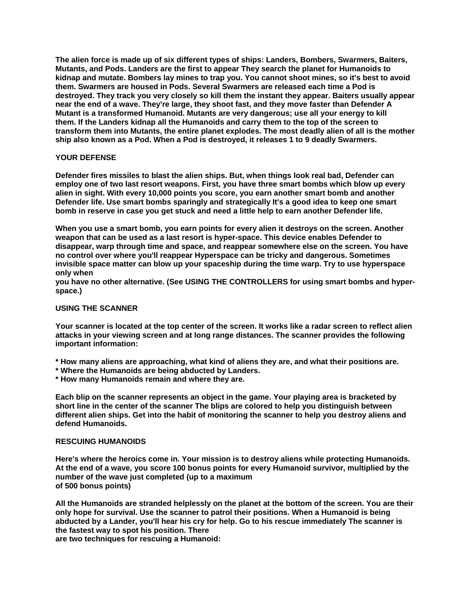**The alien force is made up of six different types of ships: Landers, Bombers, Swarmers, Baiters, Mutants, and Pods. Landers are the first to appear They search the planet for Humanoids to kidnap and mutate. Bombers lay mines to trap you. You cannot shoot mines, so it's best to avoid them. Swarmers are housed in Pods. Several Swarmers are released each time a Pod is destroyed. They track you very closely so kill them the instant they appear. Baiters usually appear near the end of a wave. They're large, they shoot fast, and they move faster than Defender A Mutant is a transformed Humanoid. Mutants are very dangerous; use all your energy to kill them. If the Landers kidnap all the Humanoids and carry them to the top of the screen to transform them into Mutants, the entire planet explodes. The most deadly alien of all is the mother ship also known as a Pod. When a Pod is destroyed, it releases 1 to 9 deadly Swarmers.** 

# **YOUR DEFENSE**

**Defender fires missiles to blast the alien ships. But, when things look real bad, Defender can employ one of two last resort weapons. First, you have three smart bombs which blow up every alien in sight. With every 10,000 points you score, you earn another smart bomb and another Defender life. Use smart bombs sparingly and strategically It's a good idea to keep one smart bomb in reserve in case you get stuck and need a little help to earn another Defender life.** 

**When you use a smart bomb, you earn points for every alien it destroys on the screen. Another weapon that can be used as a last resort is hyper-space. This device enables Defender to disappear, warp through time and space, and reappear somewhere else on the screen. You have no control over where you'll reappear Hyperspace can be tricky and dangerous. Sometimes invisible space matter can blow up your spaceship during the time warp. Try to use hyperspace only when** 

**you have no other alternative. (See USING THE CONTROLLERS for using smart bombs and hyperspace.)** 

# **USING THE SCANNER**

**Your scanner is located at the top center of the screen. It works like a radar screen to reflect alien attacks in your viewing screen and at long range distances. The scanner provides the following important information:** 

**\* How many aliens are approaching, what kind of aliens they are, and what their positions are.** 

- **\* Where the Humanoids are being abducted by Landers.**
- **\* How many Humanoids remain and where they are.**

**Each blip on the scanner represents an object in the game. Your playing area is bracketed by short line in the center of the scanner The blips are colored to help you distinguish between different alien ships. Get into the habit of monitoring the scanner to help you destroy aliens and defend Humanoids.** 

# **RESCUING HUMANOIDS**

**Here's where the heroics come in. Your mission is to destroy aliens while protecting Humanoids. At the end of a wave, you score 100 bonus points for every Humanoid survivor, multiplied by the number of the wave just completed (up to a maximum of 500 bonus points)** 

**All the Humanoids are stranded helplessly on the planet at the bottom of the screen. You are their only hope for survival. Use the scanner to patrol their positions. When a Humanoid is being abducted by a Lander, you'll hear his cry for help. Go to his rescue immediately The scanner is the fastest way to spot his position. There** 

**are two techniques for rescuing a Humanoid:**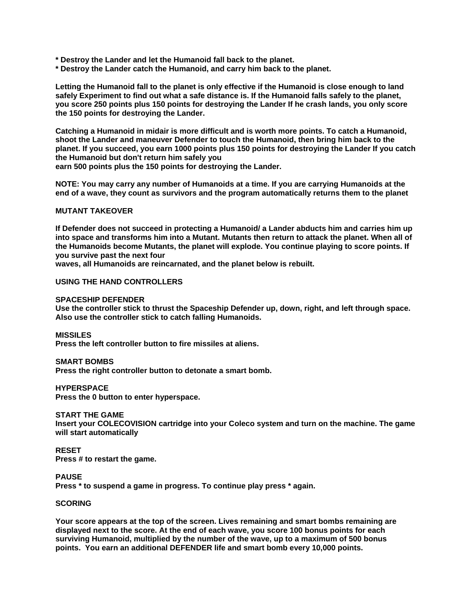- **\* Destroy the Lander and let the Humanoid fall back to the planet.**
- **\* Destroy the Lander catch the Humanoid, and carry him back to the planet.**

**Letting the Humanoid fall to the planet is only effective if the Humanoid is close enough to land safely Experiment to find out what a safe distance is. If the Humanoid falls safely to the planet, you score 250 points plus 150 points for destroying the Lander If he crash lands, you only score the 150 points for destroying the Lander.** 

**Catching a Humanoid in midair is more difficult and is worth more points. To catch a Humanoid, shoot the Lander and maneuver Defender to touch the Humanoid, then bring him back to the planet. If you succeed, you earn 1000 points plus 150 points for destroying the Lander If you catch the Humanoid but don't return him safely you earn 500 points plus the 150 points for destroying the Lander.** 

**NOTE: You may carry any number of Humanoids at a time. If you are carrying Humanoids at the end of a wave, they count as survivors and the program automatically returns them to the planet** 

#### **MUTANT TAKEOVER**

**If Defender does not succeed in protecting a Humanoid/ a Lander abducts him and carries him up into space and transforms him into a Mutant. Mutants then return to attack the planet. When all of the Humanoids become Mutants, the planet will explode. You continue playing to score points. If you survive past the next four** 

**waves, all Humanoids are reincarnated, and the planet below is rebuilt.** 

#### **USING THE HAND CONTROLLERS**

#### **SPACESHIP DEFENDER**

**Use the controller stick to thrust the Spaceship Defender up, down, right, and left through space. Also use the controller stick to catch falling Humanoids.** 

**MISSILES** 

**Press the left controller button to fire missiles at aliens.** 

#### **SMART BOMBS**

**Press the right controller button to detonate a smart bomb.** 

#### **HYPERSPACE**

**Press the 0 button to enter hyperspace.** 

#### **START THE GAME**

**Insert your COLECOVISION cartridge into your Coleco system and turn on the machine. The game will start automatically** 

# **RESET**

**Press # to restart the game.** 

# **PAUSE**

**Press \* to suspend a game in progress. To continue play press \* again.** 

#### **SCORING**

**Your score appears at the top of the screen. Lives remaining and smart bombs remaining are displayed next to the score. At the end of each wave, you score 100 bonus points for each surviving Humanoid, multiplied by the number of the wave, up to a maximum of 500 bonus points. You earn an additional DEFENDER life and smart bomb every 10,000 points.**